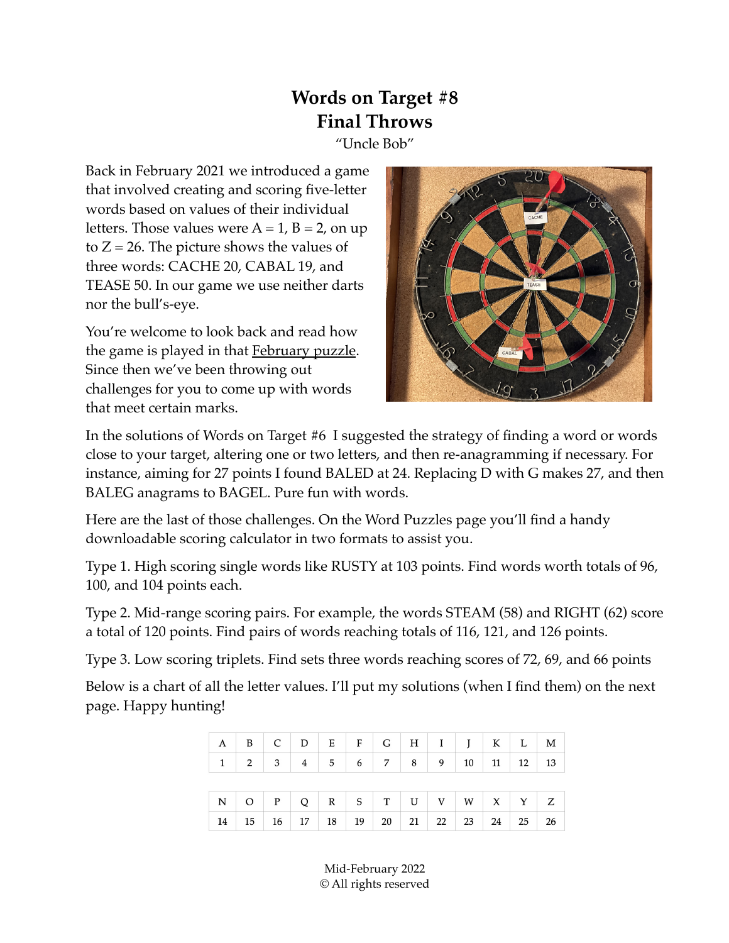## **Words on Target #8 Final Throws**

"Uncle Bob"

Back in February 2021 we introduced a game that involved creating and scoring five-letter words based on values of their individual letters. Those values were  $A = 1$ ,  $B = 2$ , on up to  $Z = 26$ . The picture shows the values of three words: CACHE 20, CABAL 19, and TEASE 50. In our game we use neither darts nor the bull's-eye.

You're welcome to look back and read how the game is played in that [February puzzle](https://www.unclebobpuzzles.com/_files/ugd/6bad76_ffd0d0db7e35485fa86c02170cd63515.pdf). Since then we've been throwing out challenges for you to come up with words that meet certain marks.



In the solutions of Words on Target #6 I suggested the strategy of finding a word or words close to your target, altering one or two letters, and then re-anagramming if necessary. For instance, aiming for 27 points I found BALED at 24. Replacing D with G makes 27, and then BALEG anagrams to BAGEL. Pure fun with words.

Here are the last of those challenges. On the Word Puzzles page you'll find a handy downloadable scoring calculator in two formats to assist you.

Type 1. High scoring single words like RUSTY at 103 points. Find words worth totals of 96, 100, and 104 points each.

Type 2. Mid-range scoring pairs. For example, the words STEAM (58) and RIGHT (62) score a total of 120 points. Find pairs of words reaching totals of 116, 121, and 126 points.

Type 3. Low scoring triplets. Find sets three words reaching scores of 72, 69, and 66 points

Below is a chart of all the letter values. I'll put my solutions (when I find them) on the next page. Happy hunting!

| $A \mid B \mid C \mid D \mid E \mid F \mid G \mid H \mid I \mid J \mid K \mid L \mid M$ |                                                                                             |  |  |  |                                  |  |    |
|-----------------------------------------------------------------------------------------|---------------------------------------------------------------------------------------------|--|--|--|----------------------------------|--|----|
|                                                                                         | $1 \mid 2 \mid 3 \mid 4 \mid 5 \mid 6 \mid 7 \mid 8 \mid 9 \mid 10 \mid 11 \mid 12 \mid 13$ |  |  |  |                                  |  |    |
|                                                                                         |                                                                                             |  |  |  |                                  |  |    |
| $N$ O P Q R S T U V W X Y Z                                                             |                                                                                             |  |  |  |                                  |  |    |
| 14                                                                                      |                                                                                             |  |  |  | 15 16 17 18 19 20 21 22 23 24 25 |  | 26 |

Mid-February 2022 © All rights reserved